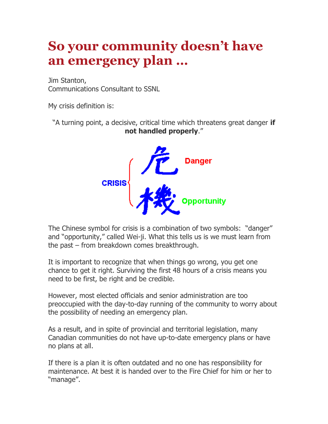## **So your community doesn't have an emergency plan …**

Jim Stanton, Communications Consultant to SSNL

My crisis definition is:

"A turning point, a decisive, critical time which threatens great danger **if not handled properly**."



The Chinese symbol for crisis is a combination of two symbols: "danger" and "opportunity," called Wei-ji. What this tells us is we must learn from the past – from breakdown comes breakthrough.

It is important to recognize that when things go wrong, you get one chance to get it right. Surviving the first 48 hours of a crisis means you need to be first, be right and be credible.

However, most elected officials and senior administration are too preoccupied with the day-to-day running of the community to worry about the possibility of needing an emergency plan.

As a result, and in spite of provincial and territorial legislation, many Canadian communities do not have up-to-date emergency plans or have no plans at all.

If there is a plan it is often outdated and no one has responsibility for maintenance. At best it is handed over to the Fire Chief for him or her to "manage".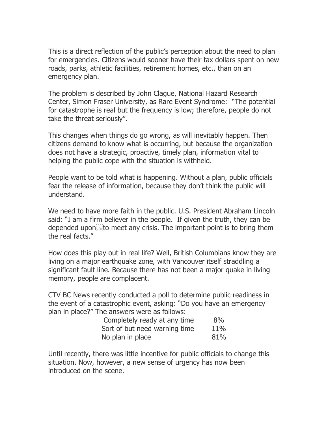This is a direct reflection of the public's perception about the need to plan for emergencies. Citizens would sooner have their tax dollars spent on new roads, parks, athletic facilities, retirement homes, etc., than on an emergency plan.

The problem is described by John Clague, National Hazard Research Center, Simon Fraser University, as Rare Event Syndrome: "The potential for catastrophe is real but the frequency is low; therefore, people do not take the threat seriously".

This changes when things do go wrong, as will inevitably happen. Then citizens demand to know what is occurring, but because the organization does not have a strategic, proactive, timely plan, information vital to helping the public cope with the situation is withheld.

People want to be told what is happening. Without a plan, public officials fear the release of information, because they don't think the public will understand.

We need to have more faith in the public. U.S. President Abraham Lincoln said: "I am a firm believer in the people. If given the truth, they can be depended upon<sup>t</sup> be meet any crisis. The important point is to bring them the real facts."

How does this play out in real life? Well, British Columbians know they are living on a major earthquake zone, with Vancouver itself straddling a significant fault line. Because there has not been a major quake in living memory, people are complacent.

CTV BC News recently conducted a poll to determine public readiness in the event of a catastrophic event, asking: "Do you have an emergency plan in place?" The answers were as follows:

| Completely ready at any time  | 8%  |
|-------------------------------|-----|
| Sort of but need warning time | 11% |
| No plan in place              | 81% |

Until recently, there was little incentive for public officials to change this situation. Now, however, a new sense of urgency has now been introduced on the scene.